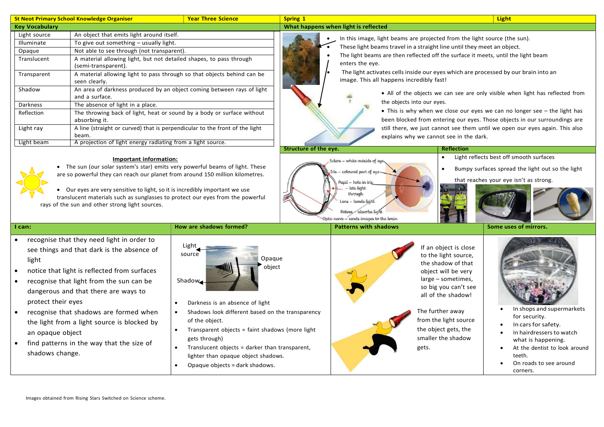|                                                                    | <b>St Neot Primary School Knowledge Organiser</b>                                                                                                                                                                                                                                                                                                                  | <b>Year Three Science</b>                                                                                                                                                                                                                                                                                                        | <b>Spring 1</b>       |                                                                                                                                        |                                                                                                                                                                                                                                                                    | <b>Light</b>                                                                                                                                                   |
|--------------------------------------------------------------------|--------------------------------------------------------------------------------------------------------------------------------------------------------------------------------------------------------------------------------------------------------------------------------------------------------------------------------------------------------------------|----------------------------------------------------------------------------------------------------------------------------------------------------------------------------------------------------------------------------------------------------------------------------------------------------------------------------------|-----------------------|----------------------------------------------------------------------------------------------------------------------------------------|--------------------------------------------------------------------------------------------------------------------------------------------------------------------------------------------------------------------------------------------------------------------|----------------------------------------------------------------------------------------------------------------------------------------------------------------|
| <b>Key Vocabulary</b>                                              |                                                                                                                                                                                                                                                                                                                                                                    |                                                                                                                                                                                                                                                                                                                                  |                       | What happens when light is reflected                                                                                                   |                                                                                                                                                                                                                                                                    |                                                                                                                                                                |
| Light source<br>Illuminate                                         | An object that emits light around itself.<br>To give out something - usually light.                                                                                                                                                                                                                                                                                |                                                                                                                                                                                                                                                                                                                                  |                       |                                                                                                                                        | In this image, light beams are projected from the light source (the sun).                                                                                                                                                                                          |                                                                                                                                                                |
| Opaque                                                             | Not able to see through (not transparent).                                                                                                                                                                                                                                                                                                                         |                                                                                                                                                                                                                                                                                                                                  |                       |                                                                                                                                        | These light beams travel in a straight line until they meet an object.                                                                                                                                                                                             |                                                                                                                                                                |
| Translucent                                                        | A material allowing light, but not detailed shapes, to pass through<br>(semi-transparent).                                                                                                                                                                                                                                                                         |                                                                                                                                                                                                                                                                                                                                  |                       | enters the eye.                                                                                                                        | The light beams are then reflected off the surface it meets, until the light beam                                                                                                                                                                                  |                                                                                                                                                                |
| Transparent                                                        | seen clearly.                                                                                                                                                                                                                                                                                                                                                      | A material allowing light to pass through so that objects behind can be                                                                                                                                                                                                                                                          |                       | image. This all happens incredibly fast!                                                                                               | The light activates cells inside our eyes which are processed by our brain into an                                                                                                                                                                                 |                                                                                                                                                                |
| Shadow                                                             | and a surface.                                                                                                                                                                                                                                                                                                                                                     | An area of darkness produced by an object coming between rays of light                                                                                                                                                                                                                                                           |                       |                                                                                                                                        |                                                                                                                                                                                                                                                                    | • All of the objects we can see are only visible when light has reflected from                                                                                 |
| Darkness                                                           | The absence of light in a place.                                                                                                                                                                                                                                                                                                                                   |                                                                                                                                                                                                                                                                                                                                  |                       |                                                                                                                                        | the objects into our eyes.                                                                                                                                                                                                                                         |                                                                                                                                                                |
| Reflection                                                         | absorbing it.                                                                                                                                                                                                                                                                                                                                                      | The throwing back of light, heat or sound by a body or surface without                                                                                                                                                                                                                                                           |                       |                                                                                                                                        |                                                                                                                                                                                                                                                                    | • This is why when we close our eyes we can no longer see – the light has<br>been blocked from entering our eyes. Those objects in our surroundings are        |
| Light ray                                                          | beam.                                                                                                                                                                                                                                                                                                                                                              | A line (straight or curved) that is perpendicular to the front of the light                                                                                                                                                                                                                                                      |                       |                                                                                                                                        | explains why we cannot see in the dark.                                                                                                                                                                                                                            | still there, we just cannot see them until we open our eyes again. This also                                                                                   |
| Light beam                                                         | A projection of light energy radiating from a light source.                                                                                                                                                                                                                                                                                                        |                                                                                                                                                                                                                                                                                                                                  | Structure of the eye. |                                                                                                                                        | <b>Reflection</b>                                                                                                                                                                                                                                                  |                                                                                                                                                                |
|                                                                    | are so powerful they can reach our planet from around 150 million kilometres.<br>• Our eyes are very sensitive to light, so it is incredibly important we use<br>translucent materials such as sunglasses to protect our eyes from the powerful<br>rays of the sun and other strong light sources.                                                                 |                                                                                                                                                                                                                                                                                                                                  |                       | Pupil - hole in iris<br>lets light<br>through<br>Lens – bends light<br>Retina absorbs light<br>Optic nerve - sends images to the brain |                                                                                                                                                                                                                                                                    | that reaches your eye isn't as strong.                                                                                                                         |
| I can:                                                             |                                                                                                                                                                                                                                                                                                                                                                    | How are shadows formed?                                                                                                                                                                                                                                                                                                          |                       | <b>Patterns with shadows</b>                                                                                                           |                                                                                                                                                                                                                                                                    | Some uses of mirrors.                                                                                                                                          |
| light<br>protect their eyes<br>an opaque object<br>shadows change. | recognise that they need light in order to<br>see things and that dark is the absence of<br>notice that light is reflected from surfaces<br>recognise that light from the sun can be<br>dangerous and that there are ways to<br>recognise that shadows are formed when<br>the light from a light source is blocked by<br>find patterns in the way that the size of | Light<br>source<br>Opaque<br>object<br>Shadow<br>Darkness is an absence of light<br>Shadows look different based on the transparency<br>of the object.<br>Transparent objects = faint shadows (more light<br>$\bullet$<br>gets through)<br>Translucent objects = darker than transparent,<br>lighter than opaque object shadows. |                       |                                                                                                                                        | If an object is close<br>to the light source,<br>the shadow of that<br>object will be very<br>large - sometimes,<br>so big you can't see<br>all of the shadow!<br>The further away<br>from the light source<br>the object gets, the<br>smaller the shadow<br>gets. | In shops and supermarkets<br>for security.<br>In cars for safety.<br>In hairdressers to watch<br>what is happening.<br>At the dentist to look around<br>teeth. |